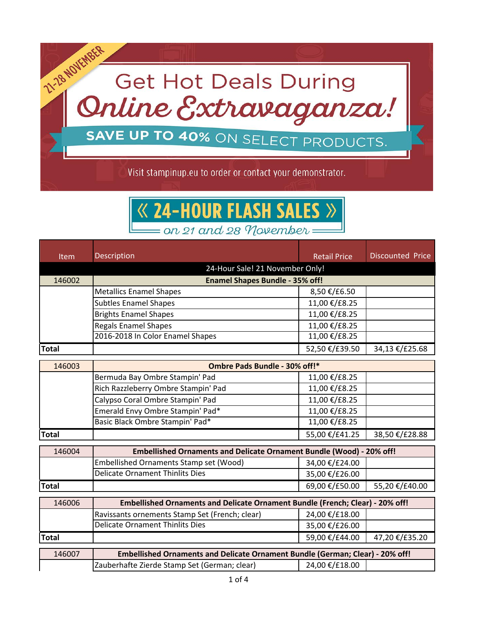

**24-HOUR FLASH SALES** on 21 and 28 November

| Item         | Description                                                                   | <b>Retail Price</b>                                                           | <b>Discounted Price</b> |  |
|--------------|-------------------------------------------------------------------------------|-------------------------------------------------------------------------------|-------------------------|--|
|              | 24-Hour Sale! 21 November Only!                                               |                                                                               |                         |  |
| 146002       | <b>Enamel Shapes Bundle - 35% off!</b>                                        |                                                                               |                         |  |
|              | <b>Metallics Enamel Shapes</b>                                                | 8,50 €/£6.50                                                                  |                         |  |
|              | <b>Subtles Enamel Shapes</b>                                                  | 11,00 €/£8.25                                                                 |                         |  |
|              | <b>Brights Enamel Shapes</b>                                                  | 11,00 €/£8.25                                                                 |                         |  |
|              | <b>Regals Enamel Shapes</b>                                                   | 11,00 €/£8.25                                                                 |                         |  |
|              | 2016-2018 In Color Enamel Shapes                                              | 11,00 €/£8.25                                                                 |                         |  |
| <b>Total</b> |                                                                               | 52,50 €/£39.50                                                                | 34,13 €/£25.68          |  |
| 146003       | Ombre Pads Bundle - 30% off!*                                                 |                                                                               |                         |  |
|              | Bermuda Bay Ombre Stampin' Pad                                                | 11,00 €/£8.25                                                                 |                         |  |
|              | Rich Razzleberry Ombre Stampin' Pad                                           | 11,00 €/£8.25                                                                 |                         |  |
|              | Calypso Coral Ombre Stampin' Pad                                              | 11,00 €/£8.25                                                                 |                         |  |
|              | Emerald Envy Ombre Stampin' Pad*                                              | 11,00 €/£8.25                                                                 |                         |  |
|              | Basic Black Ombre Stampin' Pad*                                               | 11,00 €/£8.25                                                                 |                         |  |
| <b>Total</b> |                                                                               | 55,00 €/£41.25                                                                | 38,50 €/£28.88          |  |
| 146004       | <b>Embellished Ornaments and Delicate Ornament Bundle (Wood) - 20% off!</b>   |                                                                               |                         |  |
|              | Embellished Ornaments Stamp set (Wood)                                        | 34,00 €/£24.00                                                                |                         |  |
|              | <b>Delicate Ornament Thinlits Dies</b>                                        | 35,00 €/£26.00                                                                |                         |  |
| <b>Total</b> |                                                                               | 69,00 €/£50.00                                                                | 55,20 €/£40.00          |  |
| 146006       | Embellished Ornaments and Delicate Ornament Bundle (French; Clear) - 20% off! |                                                                               |                         |  |
|              | Ravissants ornements Stamp Set (French; clear)                                | 24,00 €/£18.00                                                                |                         |  |
|              | <b>Delicate Ornament Thinlits Dies</b>                                        | 35,00 €/£26.00                                                                |                         |  |
| <b>Total</b> |                                                                               | 59,00 €/£44.00                                                                | 47,20 €/£35.20          |  |
| 146007       |                                                                               | Embellished Ornaments and Delicate Ornament Bundle (German; Clear) - 20% off! |                         |  |
|              | Zauberhafte Zierde Stamp Set (German; clear)                                  | 24,00 €/£18.00                                                                |                         |  |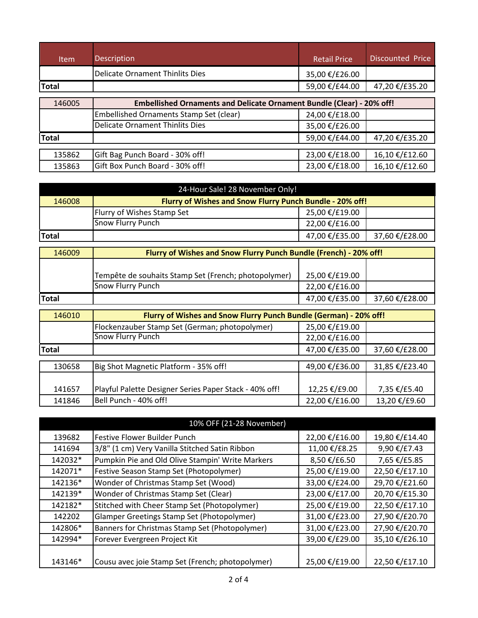| <b>Item</b>  | <b>Description</b>                                                           | <b>Retail Price</b> | <b>Discounted Price</b> |
|--------------|------------------------------------------------------------------------------|---------------------|-------------------------|
|              | <b>Delicate Ornament Thinlits Dies</b>                                       | 35,00 €/£26.00      |                         |
| <b>Total</b> |                                                                              | 59,00 €/£44.00      | 47,20 €/£35.20          |
| 146005       | <b>Embellished Ornaments and Delicate Ornament Bundle (Clear) - 20% off!</b> |                     |                         |
|              | Embellished Ornaments Stamp Set (clear)                                      | 24,00 €/£18.00      |                         |
|              | <b>Delicate Ornament Thinlits Dies</b>                                       | 35,00 €/£26.00      |                         |
| <b>Total</b> |                                                                              | 59,00 €/£44.00      | 47,20 €/£35.20          |
| 135862       | Gift Bag Punch Board - 30% off!                                              | 23,00 €/£18.00      | 16,10 €/£12.60          |
| 135863       | Gift Box Punch Board - 30% off!                                              | 23,00 €/£18.00      | 16,10 €/£12.60          |

| 24-Hour Sale! 28 November Only! |                                                                   |                |                |
|---------------------------------|-------------------------------------------------------------------|----------------|----------------|
| 146008                          | Flurry of Wishes and Snow Flurry Punch Bundle - 20% off!          |                |                |
|                                 | Flurry of Wishes Stamp Set                                        | 25,00 €/£19.00 |                |
|                                 | Snow Flurry Punch                                                 | 22,00 €/£16.00 |                |
| <b>Total</b>                    |                                                                   | 47,00 €/£35.00 | 37,60 €/£28.00 |
| 146009                          | Flurry of Wishes and Snow Flurry Punch Bundle (French) - 20% off! |                |                |
|                                 | Tempête de souhaits Stamp Set (French; photopolymer)              | 25,00 €/£19.00 |                |
|                                 | Snow Flurry Punch                                                 | 22,00 €/£16.00 |                |
| <b>Total</b>                    |                                                                   | 47,00 €/£35.00 | 37,60 €/£28.00 |
| 146010                          | Flurry of Wishes and Snow Flurry Punch Bundle (German) - 20% off! |                |                |
|                                 | Flockenzauber Stamp Set (German; photopolymer)                    | 25,00 €/£19.00 |                |
|                                 | <b>Snow Flurry Punch</b>                                          | 22,00 €/£16.00 |                |
| <b>Total</b>                    |                                                                   | 47,00 €/£35.00 | 37,60 €/£28.00 |
| 130658                          | Big Shot Magnetic Platform - 35% off!                             | 49,00 €/£36.00 | 31,85 €/£23.40 |
| 141657                          | Playful Palette Designer Series Paper Stack - 40% off!            | 12,25 €/£9.00  | 7,35 €/£5.40   |
| 141846                          | Bell Punch - 40% off!                                             | 22,00 €/£16.00 | 13,20 €/£9.60  |

| 10% OFF (21-28 November)                          |                                                  |                |  |
|---------------------------------------------------|--------------------------------------------------|----------------|--|
| <b>Festive Flower Builder Punch</b>               | 22,00 €/£16.00                                   | 19,80 €/£14.40 |  |
| 3/8" (1 cm) Very Vanilla Stitched Satin Ribbon    | 11,00 €/£8.25                                    | 9,90 €/£7.43   |  |
| Pumpkin Pie and Old Olive Stampin' Write Markers  | 8,50 €/£6.50                                     | 7,65 €/£5.85   |  |
| Festive Season Stamp Set (Photopolymer)           | 25,00 €/£19.00                                   | 22,50 €/£17.10 |  |
| Wonder of Christmas Stamp Set (Wood)              | 33,00 €/£24.00                                   | 29,70 €/£21.60 |  |
| Wonder of Christmas Stamp Set (Clear)             | 23,00 €/£17.00                                   | 20,70 €/£15.30 |  |
| Stitched with Cheer Stamp Set (Photopolymer)      | 25,00 €/£19.00                                   | 22,50 €/£17.10 |  |
| <b>Glamper Greetings Stamp Set (Photopolymer)</b> | 31,00 €/£23.00                                   | 27,90 €/£20.70 |  |
| Banners for Christmas Stamp Set (Photopolymer)    | 31,00 €/£23.00                                   | 27,90 €/£20.70 |  |
| Forever Evergreen Project Kit                     | 39,00 €/£29.00                                   | 35,10 €/£26.10 |  |
|                                                   |                                                  | 22,50 €/£17.10 |  |
|                                                   | Cousu avec joie Stamp Set (French; photopolymer) | 25,00 €/£19.00 |  |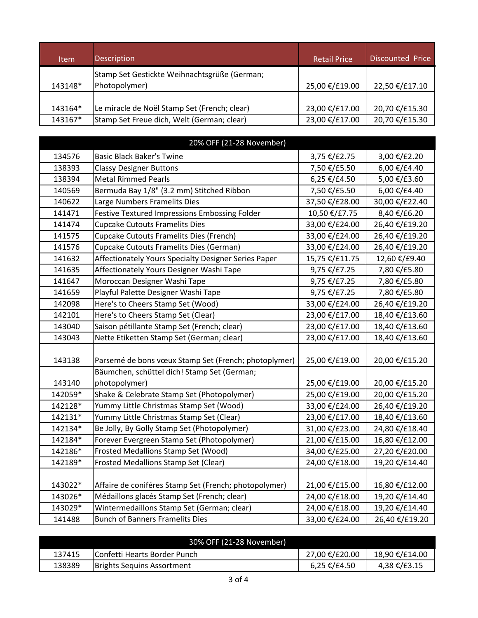| <b>Item</b> | <b>Description</b>                                             | <b>Retail Price</b> | Discounted Price |
|-------------|----------------------------------------------------------------|---------------------|------------------|
| 143148*     | Stamp Set Gestickte Weihnachtsgrüße (German;<br>(Photopolymer) | 25,00 €/£19.00      | 22,50 €/£17.10   |
| 143164*     | Le miracle de Noël Stamp Set (French; clear)                   | 23,00 €/£17.00      | 20,70 €/£15.30   |
| 143167*     | Stamp Set Freue dich, Welt (German; clear)                     | 23,00 €/£17.00      | 20,70 €/£15.30   |

| 20% OFF (21-28 November) |                                                       |                |                |
|--------------------------|-------------------------------------------------------|----------------|----------------|
| 134576                   | <b>Basic Black Baker's Twine</b>                      | 3,75 €/£2.75   | 3,00 €/£2.20   |
| 138393                   | <b>Classy Designer Buttons</b>                        | 7,50 €/£5.50   | 6,00 €/£4.40   |
| 138394                   | <b>Metal Rimmed Pearls</b>                            | 6,25 €/£4.50   | 5,00 €/£3.60   |
| 140569                   | Bermuda Bay 1/8" (3.2 mm) Stitched Ribbon             | 7,50 €/£5.50   | 6,00 €/£4.40   |
| 140622                   | Large Numbers Framelits Dies                          | 37,50 €/£28.00 | 30,00 €/£22.40 |
| 141471                   | Festive Textured Impressions Embossing Folder         | 10,50 €/£7.75  | 8,40 €/£6.20   |
| 141474                   | <b>Cupcake Cutouts Framelits Dies</b>                 | 33,00 €/£24.00 | 26,40 €/£19.20 |
| 141575                   | Cupcake Cutouts Framelits Dies (French)               | 33,00 €/£24.00 | 26,40 €/£19.20 |
| 141576                   | Cupcake Cutouts Framelits Dies (German)               | 33,00 €/£24.00 | 26,40 €/£19.20 |
| 141632                   | Affectionately Yours Specialty Designer Series Paper  | 15,75 €/£11.75 | 12,60 €/£9.40  |
| 141635                   | Affectionately Yours Designer Washi Tape              | 9,75 €/£7.25   | 7,80 €/£5.80   |
| 141647                   | Moroccan Designer Washi Tape                          | 9,75 €/£7.25   | 7,80 €/£5.80   |
| 141659                   | Playful Palette Designer Washi Tape                   | 9,75 €/£7.25   | 7,80 €/£5.80   |
| 142098                   | Here's to Cheers Stamp Set (Wood)                     | 33,00 €/£24.00 | 26,40 €/£19.20 |
| 142101                   | Here's to Cheers Stamp Set (Clear)                    | 23,00 €/£17.00 | 18,40 €/£13.60 |
| 143040                   | Saison pétillante Stamp Set (French; clear)           | 23,00 €/£17.00 | 18,40 €/£13.60 |
| 143043                   | Nette Etiketten Stamp Set (German; clear)             | 23,00 €/£17.00 | 18,40 €/£13.60 |
| 143138                   | Parsemé de bons vœux Stamp Set (French; photoplymer)  | 25,00 €/£19.00 | 20,00 €/£15.20 |
|                          | Bäumchen, schüttel dich! Stamp Set (German;           |                |                |
| 143140                   | photopolymer)                                         | 25,00 €/£19.00 | 20,00 €/£15.20 |
| 142059*                  | Shake & Celebrate Stamp Set (Photopolymer)            | 25,00 €/£19.00 | 20,00 €/£15.20 |
| 142128*                  | Yummy Little Christmas Stamp Set (Wood)               | 33,00 €/£24.00 | 26,40 €/£19.20 |
| 142131*                  | Yummy Little Christmas Stamp Set (Clear)              | 23,00 €/£17.00 | 18,40 €/£13.60 |
| 142134*                  | Be Jolly, By Golly Stamp Set (Photopolymer)           | 31,00 €/£23.00 | 24,80 €/£18.40 |
| 142184*                  | Forever Evergreen Stamp Set (Photopolymer)            | 21,00 €/£15.00 | 16,80 €/£12.00 |
| 142186*                  | Frosted Medallions Stamp Set (Wood)                   | 34,00 €/£25.00 | 27,20 €/£20.00 |
| 142189*                  | Frosted Medallions Stamp Set (Clear)                  | 24,00 €/£18.00 | 19,20 €/£14.40 |
| 143022*                  | Affaire de coniféres Stamp Set (French; photopolymer) | 21,00 €/£15.00 | 16,80 €/£12.00 |
| 143026*                  | Médaillons glacés Stamp Set (French; clear)           | 24,00 €/£18.00 | 19,20 €/£14.40 |
| 143029*                  | Wintermedaillons Stamp Set (German; clear)            | 24,00 €/£18.00 | 19,20 €/£14.40 |
| 141488                   | <b>Bunch of Banners Framelits Dies</b>                | 33,00 €/£24.00 | 26,40 €/£19.20 |

|        | 30% OFF (21-28 November)          |                   |                |
|--------|-----------------------------------|-------------------|----------------|
| 137415 | IConfetti Hearts Border Punch     | 27,00 €/£20.00    | 18,90 €/£14.00 |
| 138389 | <b>Brights Sequins Assortment</b> | $6,25 \in$ /£4.50 | 4,38 €/£3.15   |